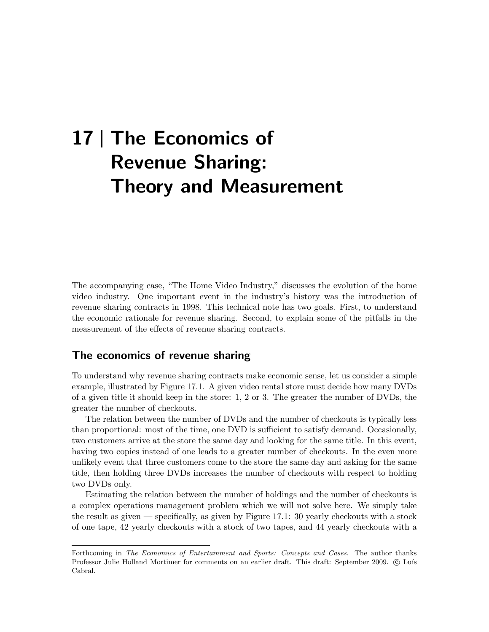# 17 | The Economics of Revenue Sharing: Theory and Measurement

The accompanying case, "The Home Video Industry," discusses the evolution of the home video industry. One important event in the industry's history was the introduction of revenue sharing contracts in 1998. This technical note has two goals. First, to understand the economic rationale for revenue sharing. Second, to explain some of the pitfalls in the measurement of the effects of revenue sharing contracts.

## The economics of revenue sharing

To understand why revenue sharing contracts make economic sense, let us consider a simple example, illustrated by Figure 17.1. A given video rental store must decide how many DVDs of a given title it should keep in the store: 1, 2 or 3. The greater the number of DVDs, the greater the number of checkouts.

The relation between the number of DVDs and the number of checkouts is typically less than proportional: most of the time, one DVD is sufficient to satisfy demand. Occasionally, two customers arrive at the store the same day and looking for the same title. In this event, having two copies instead of one leads to a greater number of checkouts. In the even more unlikely event that three customers come to the store the same day and asking for the same title, then holding three DVDs increases the number of checkouts with respect to holding two DVDs only.

Estimating the relation between the number of holdings and the number of checkouts is a complex operations management problem which we will not solve here. We simply take the result as given — specifically, as given by Figure 17.1: 30 yearly checkouts with a stock of one tape, 42 yearly checkouts with a stock of two tapes, and 44 yearly checkouts with a

Forthcoming in The Economics of Entertainment and Sports: Concepts and Cases. The author thanks Professor Julie Holland Mortimer for comments on an earlier draft. This draft: September 2009. © Luís Cabral.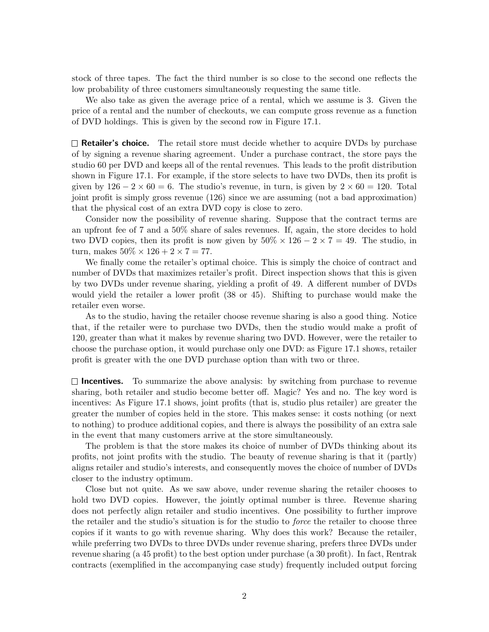stock of three tapes. The fact the third number is so close to the second one reflects the low probability of three customers simultaneously requesting the same title.

We also take as given the average price of a rental, which we assume is 3. Given the price of a rental and the number of checkouts, we can compute gross revenue as a function of DVD holdings. This is given by the second row in Figure 17.1.

 $\Box$  **Retailer's choice.** The retail store must decide whether to acquire DVDs by purchase of by signing a revenue sharing agreement. Under a purchase contract, the store pays the studio 60 per DVD and keeps all of the rental revenues. This leads to the profit distribution shown in Figure 17.1. For example, if the store selects to have two DVDs, then its profit is given by  $126 - 2 \times 60 = 6$ . The studio's revenue, in turn, is given by  $2 \times 60 = 120$ . Total joint profit is simply gross revenue (126) since we are assuming (not a bad approximation) that the physical cost of an extra DVD copy is close to zero.

Consider now the possibility of revenue sharing. Suppose that the contract terms are an upfront fee of 7 and a 50% share of sales revenues. If, again, the store decides to hold two DVD copies, then its profit is now given by  $50\% \times 126 - 2 \times 7 = 49$ . The studio, in turn, makes  $50\% \times 126 + 2 \times 7 = 77$ .

We finally come the retailer's optimal choice. This is simply the choice of contract and number of DVDs that maximizes retailer's profit. Direct inspection shows that this is given by two DVDs under revenue sharing, yielding a profit of 49. A different number of DVDs would yield the retailer a lower profit (38 or 45). Shifting to purchase would make the retailer even worse.

As to the studio, having the retailer choose revenue sharing is also a good thing. Notice that, if the retailer were to purchase two DVDs, then the studio would make a profit of 120, greater than what it makes by revenue sharing two DVD. However, were the retailer to choose the purchase option, it would purchase only one DVD: as Figure 17.1 shows, retailer profit is greater with the one DVD purchase option than with two or three.

 $\Box$  Incentives. To summarize the above analysis: by switching from purchase to revenue sharing, both retailer and studio become better off. Magic? Yes and no. The key word is incentives: As Figure 17.1 shows, joint profits (that is, studio plus retailer) are greater the greater the number of copies held in the store. This makes sense: it costs nothing (or next to nothing) to produce additional copies, and there is always the possibility of an extra sale in the event that many customers arrive at the store simultaneously.

The problem is that the store makes its choice of number of DVDs thinking about its profits, not joint profits with the studio. The beauty of revenue sharing is that it (partly) aligns retailer and studio's interests, and consequently moves the choice of number of DVDs closer to the industry optimum.

Close but not quite. As we saw above, under revenue sharing the retailer chooses to hold two DVD copies. However, the jointly optimal number is three. Revenue sharing does not perfectly align retailer and studio incentives. One possibility to further improve the retailer and the studio's situation is for the studio to force the retailer to choose three copies if it wants to go with revenue sharing. Why does this work? Because the retailer, while preferring two DVDs to three DVDs under revenue sharing, prefers three DVDs under revenue sharing (a 45 profit) to the best option under purchase (a 30 profit). In fact, Rentrak contracts (exemplified in the accompanying case study) frequently included output forcing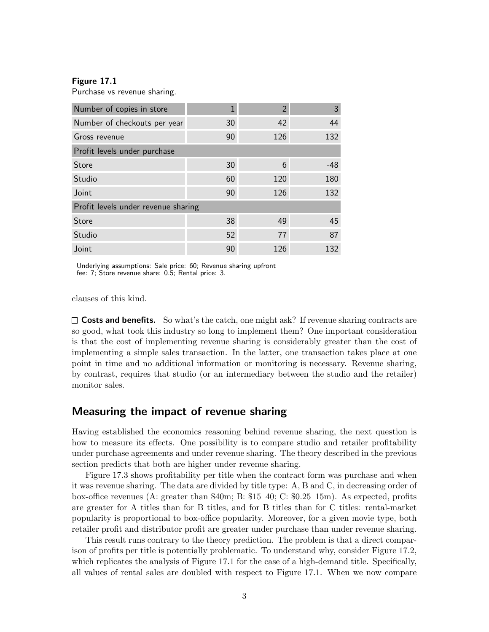## Figure 17.1

Purchase vs revenue sharing.

| Number of copies in store           | 1  | 2   | 3     |  |  |  |
|-------------------------------------|----|-----|-------|--|--|--|
| Number of checkouts per year        | 30 | 42  | 44    |  |  |  |
| Gross revenue                       | 90 | 126 | 132   |  |  |  |
| Profit levels under purchase        |    |     |       |  |  |  |
| Store                               | 30 | 6   | $-48$ |  |  |  |
| Studio                              | 60 | 120 | 180   |  |  |  |
| Joint                               | 90 | 126 | 132   |  |  |  |
| Profit levels under revenue sharing |    |     |       |  |  |  |
| Store                               | 38 | 49  | 45    |  |  |  |
| Studio                              | 52 | 77  | 87    |  |  |  |
| Joint                               | 90 | 126 | 132   |  |  |  |

Underlying assumptions: Sale price: 60; Revenue sharing upfront fee: 7; Store revenue share: 0.5; Rental price: 3.

clauses of this kind.

 $\square$  Costs and benefits. So what's the catch, one might ask? If revenue sharing contracts are so good, what took this industry so long to implement them? One important consideration is that the cost of implementing revenue sharing is considerably greater than the cost of implementing a simple sales transaction. In the latter, one transaction takes place at one point in time and no additional information or monitoring is necessary. Revenue sharing, by contrast, requires that studio (or an intermediary between the studio and the retailer) monitor sales.

## Measuring the impact of revenue sharing

Having established the economics reasoning behind revenue sharing, the next question is how to measure its effects. One possibility is to compare studio and retailer profitability under purchase agreements and under revenue sharing. The theory described in the previous section predicts that both are higher under revenue sharing.

Figure 17.3 shows profitability per title when the contract form was purchase and when it was revenue sharing. The data are divided by title type: A, B and C, in decreasing order of box-office revenues (A: greater than \$40m; B: \$15–40; C: \$0.25–15m). As expected, profits are greater for A titles than for B titles, and for B titles than for C titles: rental-market popularity is proportional to box-office popularity. Moreover, for a given movie type, both retailer profit and distributor profit are greater under purchase than under revenue sharing.

This result runs contrary to the theory prediction. The problem is that a direct comparison of profits per title is potentially problematic. To understand why, consider Figure 17.2, which replicates the analysis of Figure 17.1 for the case of a high-demand title. Specifically, all values of rental sales are doubled with respect to Figure 17.1. When we now compare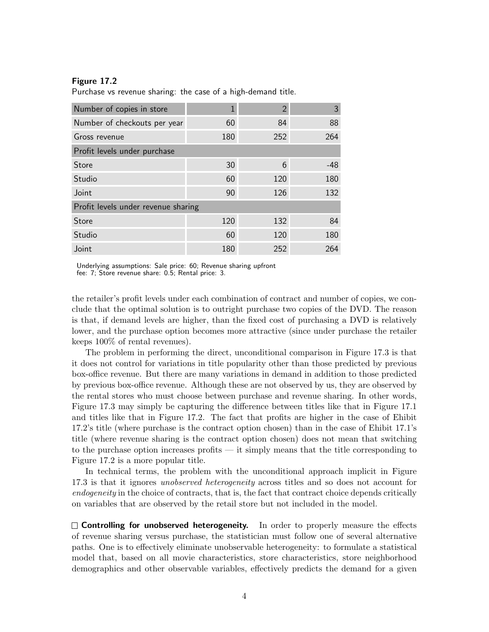## Figure 17.2

Purchase vs revenue sharing: the case of a high-demand title.

| Number of copies in store           |     | $\mathcal{P}$ | 3     |  |  |
|-------------------------------------|-----|---------------|-------|--|--|
| Number of checkouts per year        | 60  | 84            | 88    |  |  |
| Gross revenue                       | 180 | 252           | 264   |  |  |
| Profit levels under purchase        |     |               |       |  |  |
| <b>Store</b>                        | 30  | 6             | $-48$ |  |  |
| Studio                              | 60  | 120           | 180   |  |  |
| Joint                               | 90  | 126           | 132   |  |  |
| Profit levels under revenue sharing |     |               |       |  |  |
| <b>Store</b>                        | 120 | 132           | 84    |  |  |
| Studio                              | 60  | 120           | 180   |  |  |
| Joint                               | 180 | 252           | 264   |  |  |

Underlying assumptions: Sale price: 60; Revenue sharing upfront fee: 7; Store revenue share: 0.5; Rental price: 3.

the retailer's profit levels under each combination of contract and number of copies, we conclude that the optimal solution is to outright purchase two copies of the DVD. The reason is that, if demand levels are higher, than the fixed cost of purchasing a DVD is relatively lower, and the purchase option becomes more attractive (since under purchase the retailer keeps 100% of rental revenues).

The problem in performing the direct, unconditional comparison in Figure 17.3 is that it does not control for variations in title popularity other than those predicted by previous box-office revenue. But there are many variations in demand in addition to those predicted by previous box-office revenue. Although these are not observed by us, they are observed by the rental stores who must choose between purchase and revenue sharing. In other words, Figure 17.3 may simply be capturing the difference between titles like that in Figure 17.1 and titles like that in Figure 17.2. The fact that profits are higher in the case of Ehibit 17.2's title (where purchase is the contract option chosen) than in the case of Ehibit 17.1's title (where revenue sharing is the contract option chosen) does not mean that switching to the purchase option increases profits — it simply means that the title corresponding to Figure 17.2 is a more popular title.

In technical terms, the problem with the unconditional approach implicit in Figure 17.3 is that it ignores unobserved heterogeneity across titles and so does not account for endogeneity in the choice of contracts, that is, the fact that contract choice depends critically on variables that are observed by the retail store but not included in the model.

 $\Box$  Controlling for unobserved heterogeneity. In order to properly measure the effects of revenue sharing versus purchase, the statistician must follow one of several alternative paths. One is to effectively eliminate unobservable heterogeneity: to formulate a statistical model that, based on all movie characteristics, store characteristics, store neighborhood demographics and other observable variables, effectively predicts the demand for a given